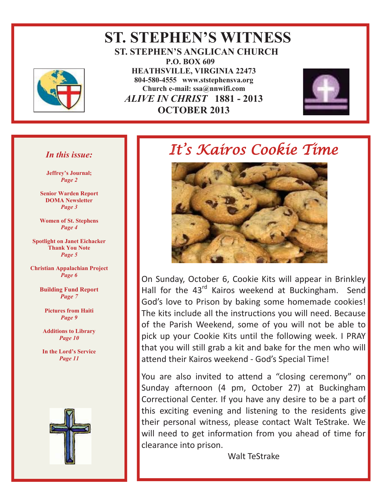

#### **ST. STEPHEN'S WITNESS ST. STEPHEN'S ANGLICAN CHURCH P.O. BOX 609 HEATHSVILLE, VIRGINIA 22473 804-580-4555 www.ststephensva.org Church e-mail: ssa@nnwifi.com** *ALIVE IN CHRIST* **1881 - 2013 OCTOBER 2013**



#### *In this issue:*

**Jeffrey's Journal;** *Page 2*

**Senior Warden Report DOMA Newsletter** *Page 3*

**Women of St. Stephens** *Page 4*

**Spotlight on Janet Eichacker Thank You Note** *Page 5*

**Christian Appalachian Project** *Page 6* 

> **Building Fund Report**  *Page 7*

**Pictures from Haiti**  *Page 9* 

**Additions to Library**  *Page 10* 

**In the Lord's Service** *Page 11* 



# It's Kairos Cookie Time



On Sunday, October 6, Cookie Kits will appear in Brinkley Hall for the 43<sup>rd</sup> Kairos weekend at Buckingham. Send God's love to Prison by baking some homemade cookies! The kits include all the instructions you will need. Because of the Parish Weekend, some of you will not be able to pick up your Cookie Kits until the following week. I PRAY that you will still grab a kit and bake for the men who will attend their Kairos weekend - God's Special Time!

You are also invited to attend a "closing ceremony" on Sunday afternoon (4 pm, October 27) at Buckingham Correctional Center. If you have any desire to be a part of this exciting evening and listening to the residents give their personal witness, please contact Walt TeStrake. We will need to get information from you ahead of time for clearance into prison.

Walt TeStrake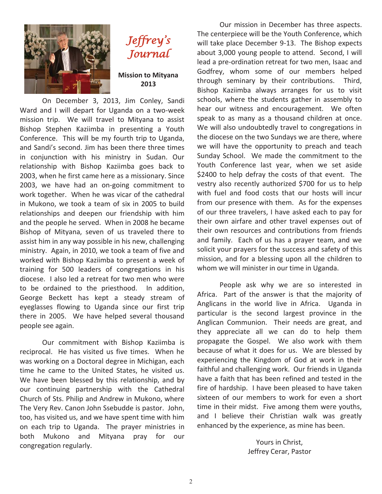



**Mission to Mityana 2013** 

 On December 3, 2013, Jim Conley, Sandi Ward and I will depart for Uganda on a two-week mission trip. We will travel to Mityana to assist Bishop Stephen Kaziimba in presenting a Youth Conference. This will be my fourth trip to Uganda, and Sandi's second. Jim has been there three times in conjunction with his ministry in Sudan. Our relationship with Bishop Kaziimba goes back to 2003, when he first came here as a missionary. Since 2003, we have had an on-going commitment to work together. When he was vicar of the cathedral in Mukono, we took a team of six in 2005 to build relationships and deepen our friendship with him and the people he served. When in 2008 he became Bishop of Mityana, seven of us traveled there to assist him in any way possible in his new, challenging ministry. Again, in 2010, we took a team of five and worked with Bishop Kaziimba to present a week of training for 500 leaders of congregations in his diocese. I also led a retreat for two men who were to be ordained to the priesthood. In addition, George Beckett has kept a steady stream of eyeglasses flowing to Uganda since our first trip there in 2005. We have helped several thousand people see again.

 Our commitment with Bishop Kaziimba is reciprocal. He has visited us five times. When he was working on a Doctoral degree in Michigan, each time he came to the United States, he visited us. We have been blessed by this relationship, and by our continuing partnership with the Cathedral Church of Sts. Philip and Andrew in Mukono, where The Very Rev. Canon John Ssebudde is pastor. John, too, has visited us, and we have spent time with him on each trip to Uganda. The prayer ministries in both Mukono and Mityana pray for our congregation regularly.

 Our mission in December has three aspects. The centerpiece will be the Youth Conference, which will take place December 9-13. The Bishop expects about 3,000 young people to attend. Second, I will lead a pre-ordination retreat for two men, Isaac and Godfrey, whom some of our members helped through seminary by their contributions. Third, Bishop Kaziimba always arranges for us to visit schools, where the students gather in assembly to hear our witness and encouragement. We often speak to as many as a thousand children at once. We will also undoubtedly travel to congregations in the diocese on the two Sundays we are there, where we will have the opportunity to preach and teach Sunday School. We made the commitment to the Youth Conference last year, when we set aside \$2400 to help defray the costs of that event. The vestry also recently authorized \$700 for us to help with fuel and food costs that our hosts will incur from our presence with them. As for the expenses of our three travelers, I have asked each to pay for their own airfare and other travel expenses out of their own resources and contributions from friends and family. Each of us has a prayer team, and we solicit your prayers for the success and safety of this mission, and for a blessing upon all the children to whom we will minister in our time in Uganda.

 People ask why we are so interested in Africa. Part of the answer is that the majority of Anglicans in the world live in Africa. Uganda in particular is the second largest province in the Anglican Communion. Their needs are great, and they appreciate all we can do to help them propagate the Gospel. We also work with them because of what it does for us. We are blessed by experiencing the Kingdom of God at work in their faithful and challenging work. Our friends in Uganda have a faith that has been refined and tested in the fire of hardship. I have been pleased to have taken sixteen of our members to work for even a short time in their midst. Five among them were youths, and I believe their Christian walk was greatly enhanced by the experience, as mine has been.

> Yours in Christ, Jeffrey Cerar, Pastor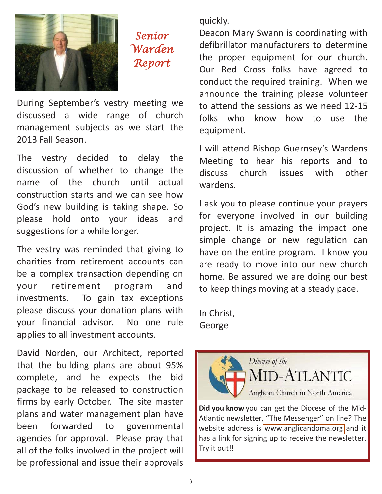

Senior Warden Report

During September's vestry meeting we discussed a wide range of church management subjects as we start the 2013 Fall Season.

The vestry decided to delay the discussion of whether to change the name of the church until actual construction starts and we can see how God's new building is taking shape. So please hold onto your ideas and suggestions for a while longer.

The vestry was reminded that giving to charities from retirement accounts can be a complex transaction depending on your retirement program and investments. To gain tax exceptions please discuss your donation plans with your financial advisor. No one rule applies to all investment accounts.

David Norden, our Architect, reported that the building plans are about 95% complete, and he expects the bid package to be released to construction firms by early October. The site master plans and water management plan have been forwarded to governmental agencies for approval. Please pray that all of the folks involved in the project will be professional and issue their approvals

quickly.

Deacon Mary Swann is coordinating with defibrillator manufacturers to determine the proper equipment for our church. Our Red Cross folks have agreed to conduct the required training. When we announce the training please volunteer to attend the sessions as we need 12-15 folks who know how to use the equipment.

I will attend Bishop Guernsey's Wardens Meeting to hear his reports and to discuss church issues with other wardens.

I ask you to please continue your prayers for everyone involved in our building project. It is amazing the impact one simple change or new regulation can have on the entire program. I know you are ready to move into our new church home. Be assured we are doing our best to keep things moving at a steady pace.

In Christ, George



**Did you know** you can get the Diocese of the Mid-Atlantic newsletter, "The Messenger" on line? The website address is [www.anglicandoma.org](http://www.anglicandoma.org/pages/page.asp?page_id=169077) and it has a link for signing up to receive the newsletter. Try it out!!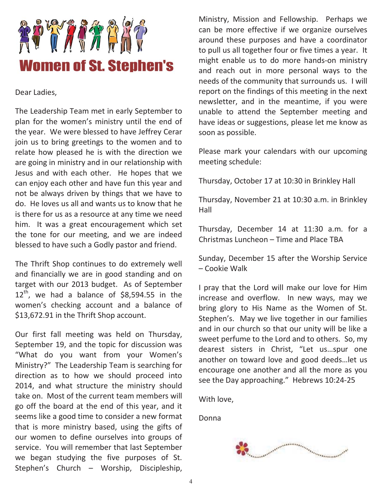

Dear Ladies,

The Leadership Team met in early September to plan for the women's ministry until the end of the year. We were blessed to have Jeffrey Cerar join us to bring greetings to the women and to relate how pleased he is with the direction we are going in ministry and in our relationship with Jesus and with each other. He hopes that we can enjoy each other and have fun this year and not be always driven by things that we have to do. He loves us all and wants us to know that he is there for us as a resource at any time we need him. It was a great encouragement which set the tone for our meeting, and we are indeed blessed to have such a Godly pastor and friend.

The Thrift Shop continues to do extremely well and financially we are in good standing and on target with our 2013 budget. As of September  $12^{th}$ , we had a balance of \$8,594.55 in the women's checking account and a balance of \$13,672.91 in the Thrift Shop account.

Our first fall meeting was held on Thursday, September 19, and the topic for discussion was "What do you want from your Women's Ministry?" The Leadership Team is searching for direction as to how we should proceed into 2014, and what structure the ministry should take on. Most of the current team members will go off the board at the end of this year, and it seems like a good time to consider a new format that is more ministry based, using the gifts of our women to define ourselves into groups of service. You will remember that last September we began studying the five purposes of St. Stephen's Church – Worship, Discipleship,

Ministry, Mission and Fellowship. Perhaps we can be more effective if we organize ourselves around these purposes and have a coordinator to pull us all together four or five times a year. It might enable us to do more hands-on ministry and reach out in more personal ways to the needs of the community that surrounds us. I will report on the findings of this meeting in the next newsletter, and in the meantime, if you were unable to attend the September meeting and have ideas or suggestions, please let me know as soon as possible.

Please mark your calendars with our upcoming meeting schedule:

Thursday, October 17 at 10:30 in Brinkley Hall

Thursday, November 21 at 10:30 a.m. in Brinkley Hall

Thursday, December 14 at 11:30 a.m. for a Christmas Luncheon – Time and Place TBA

Sunday, December 15 after the Worship Service – Cookie Walk

I pray that the Lord will make our love for Him increase and overflow. In new ways, may we bring glory to His Name as the Women of St. Stephen's. May we live together in our families and in our church so that our unity will be like a sweet perfume to the Lord and to others. So, my dearest sisters in Christ, "Let us…spur one another on toward love and good deeds…let us encourage one another and all the more as you see the Day approaching." Hebrews 10:24-25

With love,

Donna

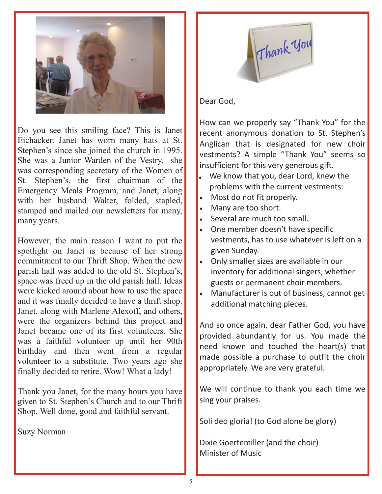

Do you see this smiling face? This is Janet Eichacker. Janet has worn many hats at St. Stephen's since she joined the church in 1995. She was a Junior Warden of the Vestry, she was corresponding secretary of the Women of St. Stephen's, the first chairman of the Emergency Meals Program, and Janet, along with her husband Walter, folded, stapled, stamped and mailed our newsletters for many, many years.

However, the main reason I want to put the spotlight on Janet is because of her strong commitment to our Thrift Shop. When the new parish hall was added to the old St. Stephen's, space was freed up in the old parish hall. Ideas were kicked around about how to use the space and it was finally decided to have a thrift shop. Janet, along with Marlene Alexoff, and others, were the organizers behind this project and Janet became one of its first volunteers. She was a faithful volunteer up until her 90th birthday and then went from a regular volunteer to a substitute. Two years ago she finally decided to retire. Wow! What a lady!

Thank you Janet, for the many hours you have given to St. Stephen's Church and to our Thrift Shop. Well done, good and faithful servant.

Suzy Norman



#### Dear God,

How can we properly say "Thank You" for the recent anonymous donation to St. Stephen's Anglican that is designated for new choir vestments? A simple "Thank You" seems so insufficient for this very generous gift.

- $\bullet$  We know that you, dear Lord, knew the problems with the current vestments:
- Most do not fit properly.
- Many are too short.
- Several are much too small.
- One member doesn't have specific vestments, has to use whatever is left on a given Sunday.
- Only smaller sizes are available in our inventory for additional singers, whether guests or permanent choir members.
- Manufacturer is out of business, cannot get additional matching pieces.

And so once again, dear Father God, you have provided abundantly for us. You made the need known and touched the heart(s) that made possible a purchase to outfit the choir appropriately. We are very grateful.

We will continue to thank you each time we sing your praises.

Soli deo gloria! (to God alone be glory)

Dixie Goertemiller (and the choir) Minister of Music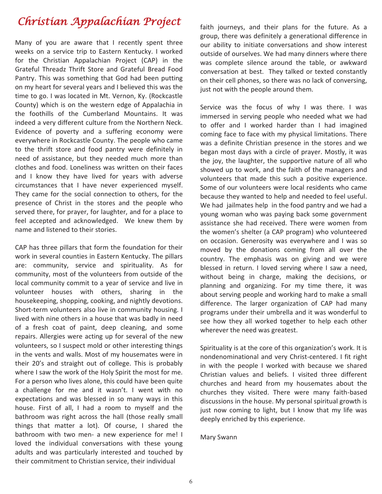## Christian Appalachian Project

Many of you are aware that I recently spent three weeks on a service trip to Eastern Kentucky. I worked for the Christian Appalachian Project (CAP) in the Grateful Threadz Thrift Store and Grateful Bread Food Pantry. This was something that God had been putting on my heart for several years and I believed this was the time to go. I was located in Mt. Vernon, Ky. (Rockcastle County) which is on the western edge of Appalachia in the foothills of the Cumberland Mountains. It was indeed a very different culture from the Northern Neck. Evidence of poverty and a suffering economy were everywhere in Rockcastle County. The people who came to the thrift store and food pantry were definitely in need of assistance, but they needed much more than clothes and food. Loneliness was written on their faces and I know they have lived for years with adverse circumstances that I have never experienced myself. They came for the social connection to others, for the presence of Christ in the stores and the people who served there, for prayer, for laughter, and for a place to feel accepted and acknowledged. We knew them by name and listened to their stories.

CAP has three pillars that form the foundation for their work in several counties in Eastern Kentucky. The pillars are: community, service and spirituality. As for community, most of the volunteers from outside of the local community commit to a year of service and live in volunteer houses with others, sharing in the housekeeping, shopping, cooking, and nightly devotions. Short-term volunteers also live in community housing. I lived with nine others in a house that was badly in need of a fresh coat of paint, deep cleaning, and some repairs. Allergies were acting up for several of the new volunteers, so I suspect mold or other interesting things in the vents and walls. Most of my housemates were in their 20's and straight out of college. This is probably where I saw the work of the Holy Spirit the most for me. For a person who lives alone, this could have been quite a challenge for me and it wasn't. I went with no expectations and was blessed in so many ways in this house. First of all, I had a room to myself and the bathroom was right across the hall (those really small things that matter a lot). Of course, I shared the bathroom with two men- a new experience for me! I loved the individual conversations with these young adults and was particularly interested and touched by their commitment to Christian service, their individual

faith journeys, and their plans for the future. As a group, there was definitely a generational difference in our ability to initiate conversations and show interest outside of ourselves. We had many dinners where there was complete silence around the table, or awkward conversation at best. They talked or texted constantly on their cell phones, so there was no lack of conversing, just not with the people around them.

Service was the focus of why I was there. I was immersed in serving people who needed what we had to offer and I worked harder than I had imagined coming face to face with my physical limitations. There was a definite Christian presence in the stores and we began most days with a circle of prayer. Mostly, it was the joy, the laughter, the supportive nature of all who showed up to work, and the faith of the managers and volunteers that made this such a positive experience. Some of our volunteers were local residents who came because they wanted to help and needed to feel useful. We had jailmates help in the food pantry and we had a young woman who was paying back some government assistance she had received. There were women from the women's shelter (a CAP program) who volunteered on occasion. Generosity was everywhere and I was so moved by the donations coming from all over the country. The emphasis was on giving and we were blessed in return. I loved serving where I saw a need, without being in charge, making the decisions, or planning and organizing. For my time there, it was about serving people and working hard to make a small difference. The larger organization of CAP had many programs under their umbrella and it was wonderful to see how they all worked together to help each other wherever the need was greatest.

Spirituality is at the core of this organization's work. It is nondenominational and very Christ-centered. I fit right in with the people I worked with because we shared Christian values and beliefs. I visited three different churches and heard from my housemates about the churches they visited. There were many faith-based discussions in the house. My personal spiritual growth is just now coming to light, but I know that my life was deeply enriched by this experience.

Mary Swann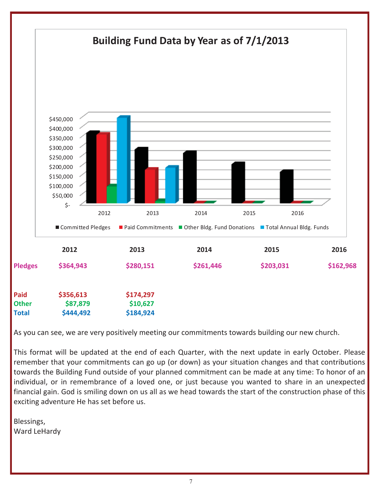

As you can see, we are very positively meeting our commitments towards building our new church.

This format will be updated at the end of each Quarter, with the next update in early October. Please remember that your commitments can go up (or down) as your situation changes and that contributions towards the Building Fund outside of your planned commitment can be made at any time: To honor of an individual, or in remembrance of a loved one, or just because you wanted to share in an unexpected financial gain. God is smiling down on us all as we head towards the start of the construction phase of this exciting adventure He has set before us.

Blessings, Ward LeHardy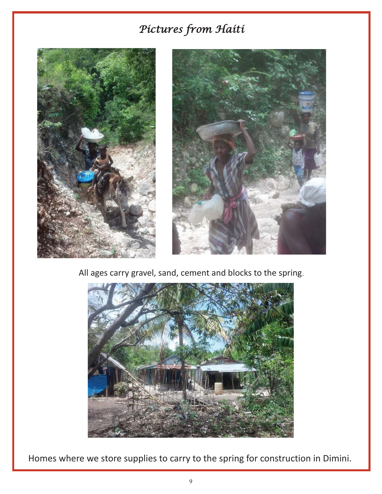## Pictures from Haiti





All ages carry gravel, sand, cement and blocks to the spring.



Homes where we store supplies to carry to the spring for construction in Dimini.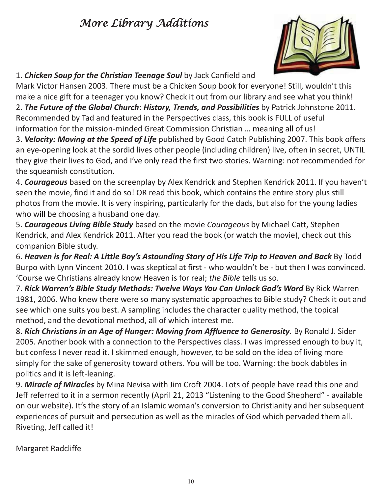## More Library Additions



#### 1. *Chicken Soup for the Christian Teenage Soul* by Jack Canfield and

Mark Victor Hansen 2003. There must be a Chicken Soup book for everyone! Still, wouldn't this make a nice gift for a teenager you know? Check it out from our library and see what you think! 2. *The Future of the Global Church***:** *History, Trends, and Possibilities* by Patrick Johnstone 2011. Recommended by Tad and featured in the Perspectives class, this book is FULL of useful information for the mission-minded Great Commission Christian … meaning all of us!

3. *Velocity: Moving at the Speed of Life* published by Good Catch Publishing 2007. This book offers an eye-opening look at the sordid lives other people (including children) live, often in secret, UNTIL they give their lives to God, and I've only read the first two stories. Warning: not recommended for the squeamish constitution.

4. *Courageous* based on the screenplay by Alex Kendrick and Stephen Kendrick 2011. If you haven't seen the movie, find it and do so! OR read this book, which contains the entire story plus still photos from the movie. It is very inspiring, particularly for the dads, but also for the young ladies who will be choosing a husband one day.

5. *Courageous Living Bible Study* based on the movie *Courageous* by Michael Catt, Stephen Kendrick, and Alex Kendrick 2011. After you read the book (or watch the movie), check out this companion Bible study.

6. *Heaven is for Real: A Little Boy's Astounding Story of His Life Trip to Heaven and Back* By Todd Burpo with Lynn Vincent 2010. I was skeptical at first - who wouldn't be - but then I was convinced. 'Course we Christians already know Heaven is for real; *the Bible* tells us so.

7. *Rick Warren's Bible Study Methods: Twelve Ways You Can Unlock God's Word* By Rick Warren 1981, 2006. Who knew there were so many systematic approaches to Bible study? Check it out and see which one suits you best. A sampling includes the character quality method, the topical method, and the devotional method, all of which interest me.

8. *Rich Christians in an Age of Hunger: Moving from Affluence to Generosity.* By Ronald J. Sider 2005. Another book with a connection to the Perspectives class. I was impressed enough to buy it, but confess I never read it. I skimmed enough, however, to be sold on the idea of living more simply for the sake of generosity toward others. You will be too. Warning: the book dabbles in politics and it is left-leaning.

9. *Miracle of Miracles* by Mina Nevisa with Jim Croft 2004. Lots of people have read this one and Jeff referred to it in a sermon recently (April 21, 2013 "Listening to the Good Shepherd" - available on our website). It's the story of an Islamic woman's conversion to Christianity and her subsequent experiences of pursuit and persecution as well as the miracles of God which pervaded them all. Riveting, Jeff called it!

Margaret Radcliffe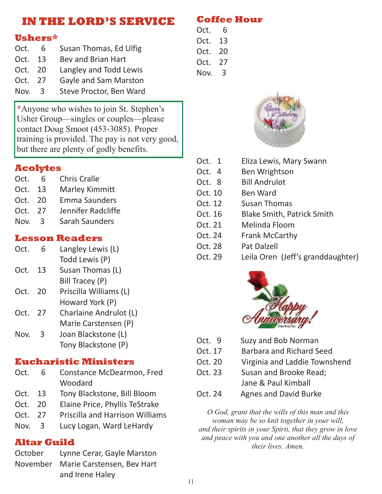### **IN THE LORD'S SERVICE**

#### **Ushers\***

| Oct.    | 6             | Susan Thomas, Ed Ulfig  |
|---------|---------------|-------------------------|
| Oct.    | 13            | Bev and Brian Hart      |
| Oct. 20 |               | Langley and Todd Lewis  |
| Oct. 27 |               | Gayle and Sam Marston   |
| Nov.    | $\mathcal{R}$ | Steve Proctor, Ben Ward |

\*Anyone who wishes to join St. Stephen's Usher Group—singles or couples—please contact Doug Smoot (453-3085). Proper training is provided. The pay is not very good, but there are plenty of godly benefits.

#### **Acolytes**

| Oct. | 6    | <b>Chris Cralle</b>   |
|------|------|-----------------------|
| Oct. | 13   | <b>Marley Kimmitt</b> |
| Oct. | 20   | <b>Emma Saunders</b>  |
| Oct. | - 27 | Jennifer Radcliffe    |
| Nov. | -3   | <b>Sarah Saunders</b> |

#### **Lesson Readers**

| Oct. | 6 | Langley Lewis (L) |
|------|---|-------------------|
|      |   | Todd Lewis (P)    |

- Oct. 13 Susan Thomas (L) Bill Tracey (P)
- Oct. 20 Priscilla Williams (L) Howard York (P)
- Oct. 27 Charlaine Andrulot (L) Marie Carstensen (P)
- Nov. 3 Joan Blackstone (L) Tony Blackstone (P)

#### **Eucharistic Ministers**

- Oct. 6 Constance McDearmon, Fred Woodard
- Oct. 13 Tony Blackstone, Bill Bloom
- Oct. 20 Elaine Price, Phyllis TeStrake
- Oct. 27 Priscilla and Harrison Williams
- Nov. 3 Lucy Logan, Ward LeHardy

#### **Altar Guild**

October Lynne Cerar, Gayle Marston November Marie Carstensen, Bev Hart and Irene Haley

**Coffee Hour** 

- Oct. 6 Oct. 13 Oct. 20 Oct. 27
- Nov. 3
- 



- Oct. 1 Eliza Lewis, Mary Swann Oct. 4 Ben Wrightson Oct. 8 Bill Andrulot Oct. 10 Ben Ward Oct. 12 Susan Thomas Oct. 16 Blake Smith, Patrick Smith Oct. 21 Melinda Floom Oct. 24 Frank McCarthy Oct. 28 Pat Dalzell
- Oct. 29 Leila Oren (Jeff's granddaughter)



- Oct. 9 Suzy and Bob Norman
- Oct. 17 Barbara and Richard Seed
- Oct. 20 Virginia and Laddie Townshend
- Oct. 23 Susan and Brooke Read: Jane & Paul Kimball
- Oct. 24Agnes and David Burke

*O God, grant that the wills of this man and this woman may be so knit together in your will, and their spirits in your Spirit, that they grow in love and peace with you and one another all the days of their lives. Amen.*